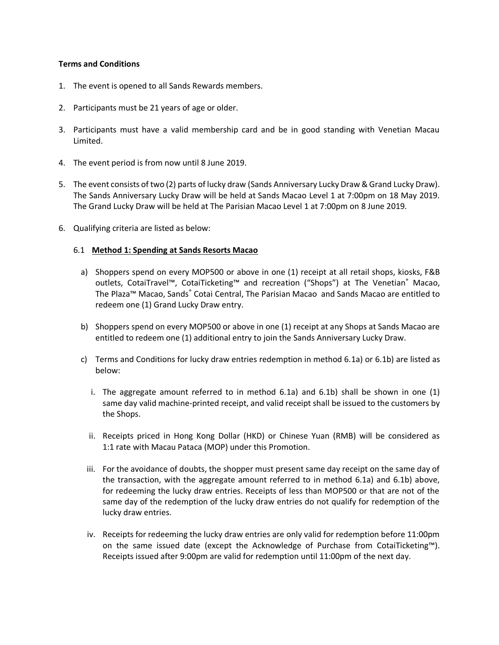#### **Terms and Conditions**

- 1. The event is opened to all Sands Rewards members.
- 2. Participants must be 21 years of age or older.
- 3. Participants must have a valid membership card and be in good standing with Venetian Macau Limited.
- 4. The event period is from now until 8 June 2019.
- 5. The event consists of two (2) parts of lucky draw (Sands Anniversary Lucky Draw & Grand Lucky Draw). The Sands Anniversary Lucky Draw will be held at Sands Macao Level 1 at 7:00pm on 18 May 2019. The Grand Lucky Draw will be held at The Parisian Macao Level 1 at 7:00pm on 8 June 2019.
- 6. Qualifying criteria are listed as below:

#### 6.1 **Method 1: Spending at Sands Resorts Macao**

- a) Shoppers spend on every MOP500 or above in one (1) receipt at all retail shops, kiosks, F&B outlets, CotaiTravel™, CotaiTicketing™ and recreation ("Shops") at The Venetian® Macao, The Plaza™ Macao, Sands® Cotai Central, The Parisian Macao and Sands Macao are entitled to redeem one (1) Grand Lucky Draw entry.
- b) Shoppers spend on every MOP500 or above in one (1) receipt at any Shops at Sands Macao are entitled to redeem one (1) additional entry to join the Sands Anniversary Lucky Draw.
- c) Terms and Conditions for lucky draw entries redemption in method 6.1a) or 6.1b) are listed as below:
	- i. The aggregate amount referred to in method 6.1a) and 6.1b) shall be shown in one (1) same day valid machine-printed receipt, and valid receipt shall be issued to the customers by the Shops.
	- ii. Receipts priced in Hong Kong Dollar (HKD) or Chinese Yuan (RMB) will be considered as 1:1 rate with Macau Pataca (MOP) under this Promotion.
	- iii. For the avoidance of doubts, the shopper must present same day receipt on the same day of the transaction, with the aggregate amount referred to in method 6.1a) and 6.1b) above, for redeeming the lucky draw entries. Receipts of less than MOP500 or that are not of the same day of the redemption of the lucky draw entries do not qualify for redemption of the lucky draw entries.
	- iv. Receipts for redeeming the lucky draw entries are only valid for redemption before 11:00pm on the same issued date (except the Acknowledge of Purchase from CotaiTicketing™). Receipts issued after 9:00pm are valid for redemption until 11:00pm of the next day.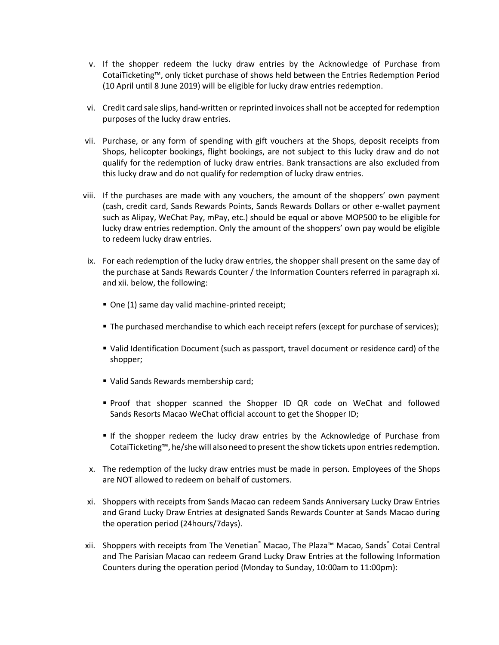- v. If the shopper redeem the lucky draw entries by the Acknowledge of Purchase from CotaiTicketing™, only ticket purchase of shows held between the Entries Redemption Period (10 April until 8 June 2019) will be eligible for lucky draw entries redemption.
- vi. Credit card sale slips, hand-written or reprinted invoices shall not be accepted for redemption purposes of the lucky draw entries.
- vii. Purchase, or any form of spending with gift vouchers at the Shops, deposit receipts from Shops, helicopter bookings, flight bookings, are not subject to this lucky draw and do not qualify for the redemption of lucky draw entries. Bank transactions are also excluded from this lucky draw and do not qualify for redemption of lucky draw entries.
- viii. If the purchases are made with any vouchers, the amount of the shoppers' own payment (cash, credit card, Sands Rewards Points, Sands Rewards Dollars or other e-wallet payment such as Alipay, WeChat Pay, mPay, etc.) should be equal or above MOP500 to be eligible for lucky draw entries redemption. Only the amount of the shoppers' own pay would be eligible to redeem lucky draw entries.
- ix. For each redemption of the lucky draw entries, the shopper shall present on the same day of the purchase at Sands Rewards Counter / the Information Counters referred in paragraph xi. and xii. below, the following:
	- One (1) same day valid machine-printed receipt;
	- The purchased merchandise to which each receipt refers (except for purchase of services);
	- Valid Identification Document (such as passport, travel document or residence card) of the shopper;
	- Ualid Sands Rewards membership card;
	- Proof that shopper scanned the Shopper ID QR code on WeChat and followed Sands Resorts Macao WeChat official account to get the Shopper ID;
	- If the shopper redeem the lucky draw entries by the Acknowledge of Purchase from CotaiTicketing™, he/she will also need to present the show tickets upon entries redemption.
- x. The redemption of the lucky draw entries must be made in person. Employees of the Shops are NOT allowed to redeem on behalf of customers.
- xi. Shoppers with receipts from Sands Macao can redeem Sands Anniversary Lucky Draw Entries and Grand Lucky Draw Entries at designated Sands Rewards Counter at Sands Macao during the operation period (24hours/7days).
- xii. Shoppers with receipts from The Venetian® Macao, The Plaza™ Macao, Sands® Cotai Central and The Parisian Macao can redeem Grand Lucky Draw Entries at the following Information Counters during the operation period (Monday to Sunday, 10:00am to 11:00pm):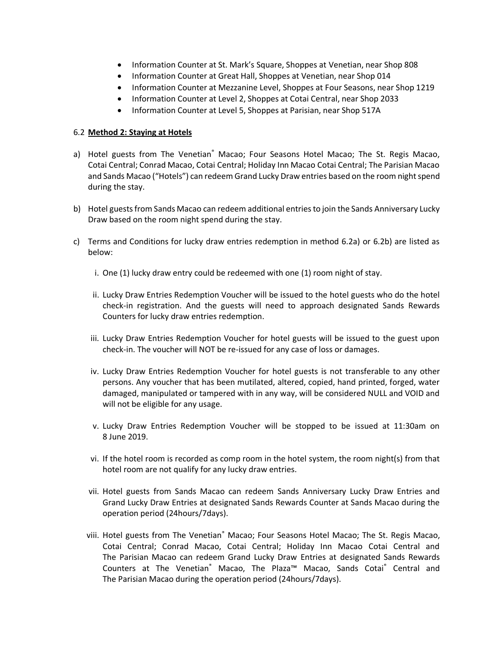- Information Counter at St. Mark's Square, Shoppes at Venetian, near Shop 808
- Information Counter at Great Hall, Shoppes at Venetian, near Shop 014
- Information Counter at Mezzanine Level, Shoppes at Four Seasons, near Shop 1219
- Information Counter at Level 2, Shoppes at Cotai Central, near Shop 2033
- Information Counter at Level 5, Shoppes at Parisian, near Shop 517A

# 6.2 **Method 2: Staying at Hotels**

- a) Hotel guests from The Venetian<sup>®</sup> Macao; Four Seasons Hotel Macao; The St. Regis Macao, Cotai Central; Conrad Macao, Cotai Central; Holiday Inn Macao Cotai Central; The Parisian Macao and Sands Macao ("Hotels") can redeem Grand Lucky Draw entries based on the room night spend during the stay.
- b) Hotel guests from Sands Macao can redeem additional entries to join the Sands Anniversary Lucky Draw based on the room night spend during the stay.
- c) Terms and Conditions for lucky draw entries redemption in method 6.2a) or 6.2b) are listed as below:
	- i. One (1) lucky draw entry could be redeemed with one (1) room night of stay.
	- ii. Lucky Draw Entries Redemption Voucher will be issued to the hotel guests who do the hotel check-in registration. And the guests will need to approach designated Sands Rewards Counters for lucky draw entries redemption.
	- iii. Lucky Draw Entries Redemption Voucher for hotel guests will be issued to the guest upon check-in. The voucher will NOT be re-issued for any case of loss or damages.
	- iv. Lucky Draw Entries Redemption Voucher for hotel guests is not transferable to any other persons. Any voucher that has been mutilated, altered, copied, hand printed, forged, water damaged, manipulated or tampered with in any way, will be considered NULL and VOID and will not be eligible for any usage.
	- v. Lucky Draw Entries Redemption Voucher will be stopped to be issued at 11:30am on 8 June 2019.
	- vi. If the hotel room is recorded as comp room in the hotel system, the room night(s) from that hotel room are not qualify for any lucky draw entries.
	- vii. Hotel guests from Sands Macao can redeem Sands Anniversary Lucky Draw Entries and Grand Lucky Draw Entries at designated Sands Rewards Counter at Sands Macao during the operation period (24hours/7days).
	- viii. Hotel guests from The Venetian® Macao; Four Seasons Hotel Macao; The St. Regis Macao, Cotai Central; Conrad Macao, Cotai Central; Holiday Inn Macao Cotai Central and The Parisian Macao can redeem Grand Lucky Draw Entries at designated Sands Rewards Counters at The Venetian® Macao, The Plaza™ Macao, Sands Cotai® Central and The Parisian Macao during the operation period (24hours/7days).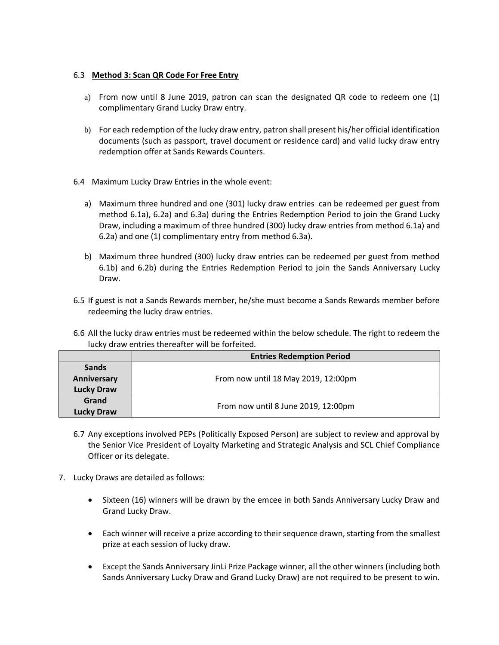# 6.3 **Method 3: Scan QR Code For Free Entry**

- a) From now until 8 June 2019, patron can scan the designated QR code to redeem one (1) complimentary Grand Lucky Draw entry.
- b) For each redemption of the lucky draw entry, patron shall present his/her official identification documents (such as passport, travel document or residence card) and valid lucky draw entry redemption offer at Sands Rewards Counters.
- 6.4 Maximum Lucky Draw Entries in the whole event:
	- a) Maximum three hundred and one (301) lucky draw entries can be redeemed per guest from method 6.1a), 6.2a) and 6.3a) during the Entries Redemption Period to join the Grand Lucky Draw, including a maximum of three hundred (300) lucky draw entries from method 6.1a) and 6.2a) and one (1) complimentary entry from method 6.3a).
	- b) Maximum three hundred (300) lucky draw entries can be redeemed per guest from method 6.1b) and 6.2b) during the Entries Redemption Period to join the Sands Anniversary Lucky Draw.
- 6.5 If guest is not a Sands Rewards member, he/she must become a Sands Rewards member before redeeming the lucky draw entries.
- 6.6 All the lucky draw entries must be redeemed within the below schedule. The right to redeem the lucky draw entries thereafter will be forfeited.

|                   | <b>Entries Redemption Period</b>    |  |  |
|-------------------|-------------------------------------|--|--|
| <b>Sands</b>      |                                     |  |  |
| Anniversary       | From now until 18 May 2019, 12:00pm |  |  |
| <b>Lucky Draw</b> |                                     |  |  |
| Grand             | From now until 8 June 2019, 12:00pm |  |  |
| <b>Lucky Draw</b> |                                     |  |  |

- 6.7 Any exceptions involved PEPs (Politically Exposed Person) are subject to review and approval by the Senior Vice President of Loyalty Marketing and Strategic Analysis and SCL Chief Compliance Officer or its delegate.
- 7. Lucky Draws are detailed as follows:
	- Sixteen (16) winners will be drawn by the emcee in both Sands Anniversary Lucky Draw and Grand Lucky Draw.
	- Each winner will receive a prize according to their sequence drawn, starting from the smallest prize at each session of lucky draw.
	- Except the Sands Anniversary JinLi Prize Package winner, all the other winners (including both Sands Anniversary Lucky Draw and Grand Lucky Draw) are not required to be present to win.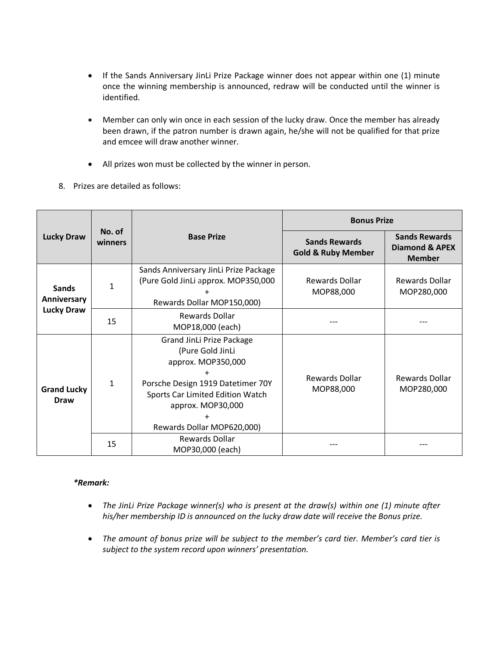- If the Sands Anniversary JinLi Prize Package winner does not appear within one (1) minute once the winning membership is announced, redraw will be conducted until the winner is identified.
- Member can only win once in each session of the lucky draw. Once the member has already been drawn, if the patron number is drawn again, he/she will not be qualified for that prize and emcee will draw another winner.
- All prizes won must be collected by the winner in person.
- 8. Prizes are detailed as follows:

| <b>Lucky Draw</b>                                | No. of<br>winners | <b>Base Prize</b>                                                                                                                                                                               | <b>Bonus Prize</b>                                    |                                                                    |
|--------------------------------------------------|-------------------|-------------------------------------------------------------------------------------------------------------------------------------------------------------------------------------------------|-------------------------------------------------------|--------------------------------------------------------------------|
|                                                  |                   |                                                                                                                                                                                                 | <b>Sands Rewards</b><br><b>Gold &amp; Ruby Member</b> | <b>Sands Rewards</b><br><b>Diamond &amp; APEX</b><br><b>Member</b> |
| <b>Sands</b><br>Anniversary<br><b>Lucky Draw</b> | 1                 | Sands Anniversary JinLi Prize Package<br>(Pure Gold JinLi approx. MOP350,000<br>Rewards Dollar MOP150,000)                                                                                      | Rewards Dollar<br>MOP88,000                           | Rewards Dollar<br>MOP280,000                                       |
|                                                  | 15                | Rewards Dollar<br>MOP18,000 (each)                                                                                                                                                              |                                                       |                                                                    |
| <b>Grand Lucky</b><br><b>Draw</b>                | $\mathbf{1}$      | Grand JinLi Prize Package<br>(Pure Gold JinLi<br>approx. MOP350,000<br>Porsche Design 1919 Datetimer 70Y<br>Sports Car Limited Edition Watch<br>approx. MOP30,000<br>Rewards Dollar MOP620,000) | Rewards Dollar<br>MOP88,000                           | <b>Rewards Dollar</b><br>MOP280,000                                |
|                                                  | 15                | Rewards Dollar<br>MOP30,000 (each)                                                                                                                                                              |                                                       |                                                                    |

## *\*Remark:*

- *The JinLi Prize Package winner(s) who is present at the draw(s) within one (1) minute after his/her membership ID is announced on the lucky draw date will receive the Bonus prize.*
- *The amount of bonus prize will be subject to the member's card tier. Member's card tier is subject to the system record upon winners' presentation.*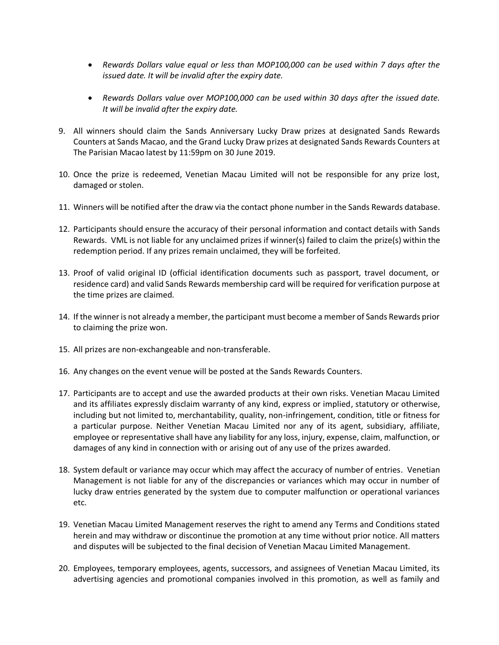- *Rewards Dollars value equal or less than MOP100,000 can be used within 7 days after the issued date. It will be invalid after the expiry date.*
- *Rewards Dollars value over MOP100,000 can be used within 30 days after the issued date. It will be invalid after the expiry date.*
- 9. All winners should claim the Sands Anniversary Lucky Draw prizes at designated Sands Rewards Counters at Sands Macao, and the Grand Lucky Draw prizes at designated Sands Rewards Counters at The Parisian Macao latest by 11:59pm on 30 June 2019.
- 10. Once the prize is redeemed, Venetian Macau Limited will not be responsible for any prize lost, damaged or stolen.
- 11. Winners will be notified after the draw via the contact phone number in the Sands Rewards database.
- 12. Participants should ensure the accuracy of their personal information and contact details with Sands Rewards. VML is not liable for any unclaimed prizes if winner(s) failed to claim the prize(s) within the redemption period. If any prizes remain unclaimed, they will be forfeited.
- 13. Proof of valid original ID (official identification documents such as passport, travel document, or residence card) and valid Sands Rewards membership card will be required for verification purpose at the time prizes are claimed.
- 14. If the winner is not already a member, the participant must become a member of Sands Rewards prior to claiming the prize won.
- 15. All prizes are non-exchangeable and non-transferable.
- 16. Any changes on the event venue will be posted at the Sands Rewards Counters.
- 17. Participants are to accept and use the awarded products at their own risks. Venetian Macau Limited and its affiliates expressly disclaim warranty of any kind, express or implied, statutory or otherwise, including but not limited to, merchantability, quality, non-infringement, condition, title or fitness for a particular purpose. Neither Venetian Macau Limited nor any of its agent, subsidiary, affiliate, employee or representative shall have any liability for any loss, injury, expense, claim, malfunction, or damages of any kind in connection with or arising out of any use of the prizes awarded.
- 18. System default or variance may occur which may affect the accuracy of number of entries. Venetian Management is not liable for any of the discrepancies or variances which may occur in number of lucky draw entries generated by the system due to computer malfunction or operational variances etc.
- 19. Venetian Macau Limited Management reserves the right to amend any Terms and Conditions stated herein and may withdraw or discontinue the promotion at any time without prior notice. All matters and disputes will be subjected to the final decision of Venetian Macau Limited Management.
- 20. Employees, temporary employees, agents, successors, and assignees of Venetian Macau Limited, its advertising agencies and promotional companies involved in this promotion, as well as family and